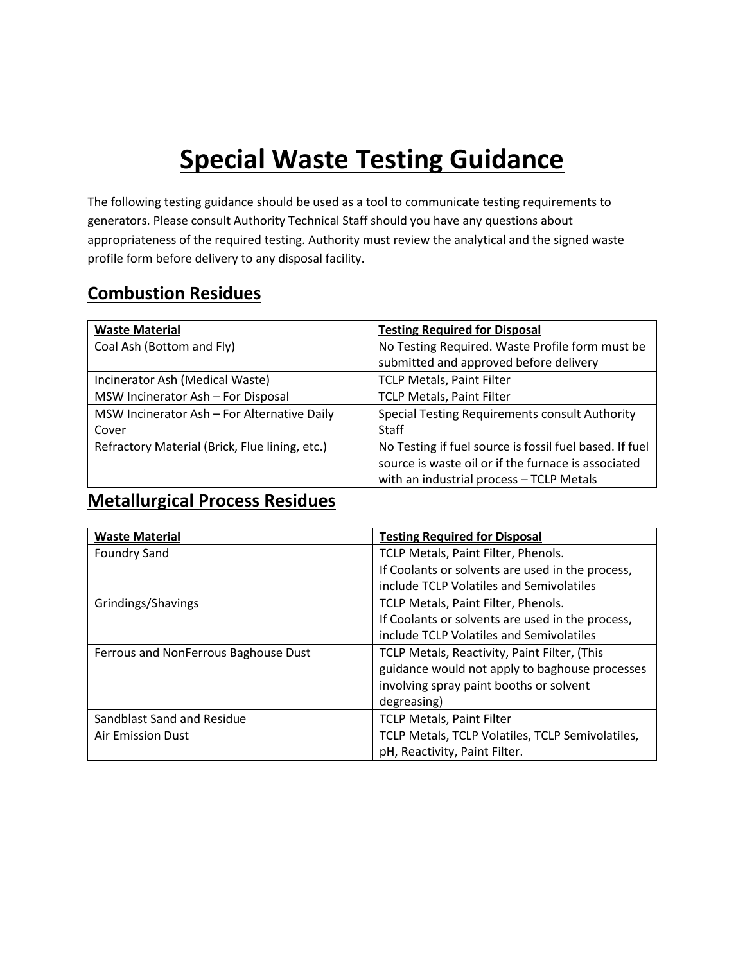# **Special Waste Testing Guidance**

The following testing guidance should be used as a tool to communicate testing requirements to generators. Please consult Authority Technical Staff should you have any questions about appropriateness of the required testing. Authority must review the analytical and the signed waste profile form before delivery to any disposal facility.

#### **Combustion Residues**

| <b>Waste Material</b>                          | <b>Testing Required for Disposal</b>                    |
|------------------------------------------------|---------------------------------------------------------|
| Coal Ash (Bottom and Fly)                      | No Testing Required. Waste Profile form must be         |
|                                                | submitted and approved before delivery                  |
| Incinerator Ash (Medical Waste)                | <b>TCLP Metals, Paint Filter</b>                        |
| MSW Incinerator Ash - For Disposal             | <b>TCLP Metals, Paint Filter</b>                        |
| MSW Incinerator Ash - For Alternative Daily    | <b>Special Testing Requirements consult Authority</b>   |
| Cover                                          | <b>Staff</b>                                            |
| Refractory Material (Brick, Flue lining, etc.) | No Testing if fuel source is fossil fuel based. If fuel |
|                                                | source is waste oil or if the furnace is associated     |
|                                                | with an industrial process - TCLP Metals                |

#### **Metallurgical Process Residues**

| <b>Waste Material</b>                | <b>Testing Required for Disposal</b>             |
|--------------------------------------|--------------------------------------------------|
| <b>Foundry Sand</b>                  | TCLP Metals, Paint Filter, Phenols.              |
|                                      | If Coolants or solvents are used in the process, |
|                                      | include TCLP Volatiles and Semivolatiles         |
| Grindings/Shavings                   | TCLP Metals, Paint Filter, Phenols.              |
|                                      | If Coolants or solvents are used in the process, |
|                                      | include TCLP Volatiles and Semivolatiles         |
| Ferrous and NonFerrous Baghouse Dust | TCLP Metals, Reactivity, Paint Filter, (This     |
|                                      | guidance would not apply to baghouse processes   |
|                                      | involving spray paint booths or solvent          |
|                                      | degreasing)                                      |
| Sandblast Sand and Residue           | <b>TCLP Metals, Paint Filter</b>                 |
| Air Emission Dust                    | TCLP Metals, TCLP Volatiles, TCLP Semivolatiles, |
|                                      | pH, Reactivity, Paint Filter.                    |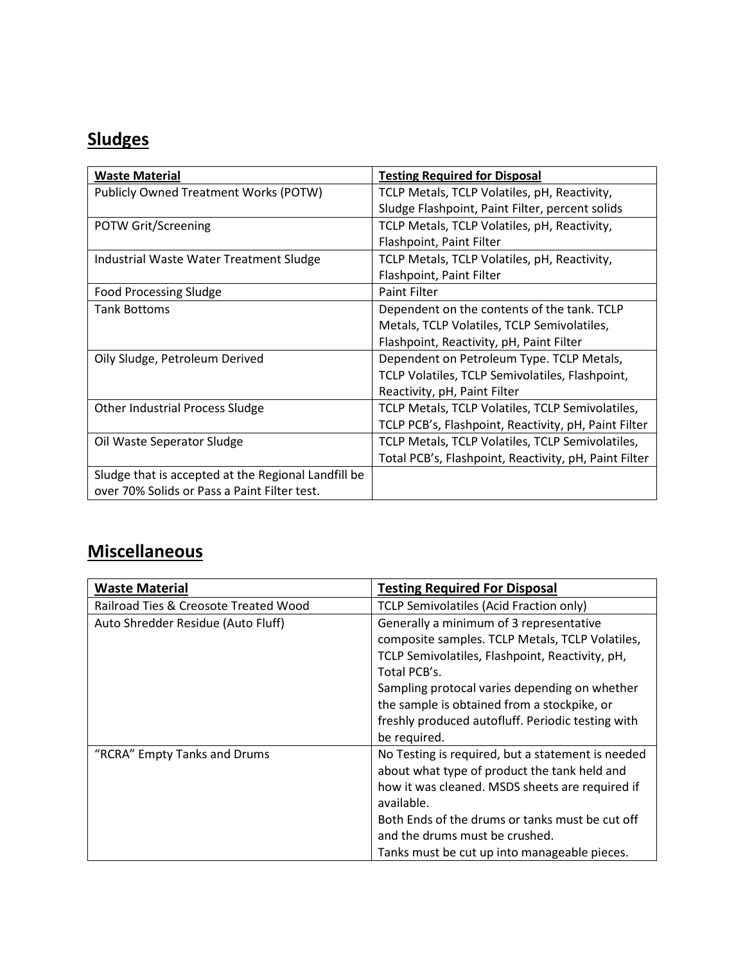# **Sludges**

| <b>Waste Material</b>                               | <b>Testing Required for Disposal</b>                  |
|-----------------------------------------------------|-------------------------------------------------------|
| Publicly Owned Treatment Works (POTW)               | TCLP Metals, TCLP Volatiles, pH, Reactivity,          |
|                                                     | Sludge Flashpoint, Paint Filter, percent solids       |
| POTW Grit/Screening                                 | TCLP Metals, TCLP Volatiles, pH, Reactivity,          |
|                                                     | Flashpoint, Paint Filter                              |
| Industrial Waste Water Treatment Sludge             | TCLP Metals, TCLP Volatiles, pH, Reactivity,          |
|                                                     | Flashpoint, Paint Filter                              |
| <b>Food Processing Sludge</b>                       | <b>Paint Filter</b>                                   |
| <b>Tank Bottoms</b>                                 | Dependent on the contents of the tank. TCLP           |
|                                                     | Metals, TCLP Volatiles, TCLP Semivolatiles,           |
|                                                     | Flashpoint, Reactivity, pH, Paint Filter              |
| Oily Sludge, Petroleum Derived                      | Dependent on Petroleum Type. TCLP Metals,             |
|                                                     | TCLP Volatiles, TCLP Semivolatiles, Flashpoint,       |
|                                                     | Reactivity, pH, Paint Filter                          |
| Other Industrial Process Sludge                     | TCLP Metals, TCLP Volatiles, TCLP Semivolatiles,      |
|                                                     | TCLP PCB's, Flashpoint, Reactivity, pH, Paint Filter  |
| Oil Waste Seperator Sludge                          | TCLP Metals, TCLP Volatiles, TCLP Semivolatiles,      |
|                                                     | Total PCB's, Flashpoint, Reactivity, pH, Paint Filter |
| Sludge that is accepted at the Regional Landfill be |                                                       |
| over 70% Solids or Pass a Paint Filter test.        |                                                       |

## **Miscellaneous**

| <b>Waste Material</b>                 | <b>Testing Required For Disposal</b>              |
|---------------------------------------|---------------------------------------------------|
| Railroad Ties & Creosote Treated Wood | TCLP Semivolatiles (Acid Fraction only)           |
| Auto Shredder Residue (Auto Fluff)    | Generally a minimum of 3 representative           |
|                                       | composite samples. TCLP Metals, TCLP Volatiles,   |
|                                       | TCLP Semivolatiles, Flashpoint, Reactivity, pH,   |
|                                       | Total PCB's.                                      |
|                                       | Sampling protocal varies depending on whether     |
|                                       | the sample is obtained from a stockpike, or       |
|                                       | freshly produced autofluff. Periodic testing with |
|                                       | be required.                                      |
| "RCRA" Empty Tanks and Drums          | No Testing is required, but a statement is needed |
|                                       | about what type of product the tank held and      |
|                                       | how it was cleaned. MSDS sheets are required if   |
|                                       | available.                                        |
|                                       | Both Ends of the drums or tanks must be cut off   |
|                                       | and the drums must be crushed.                    |
|                                       | Tanks must be cut up into manageable pieces.      |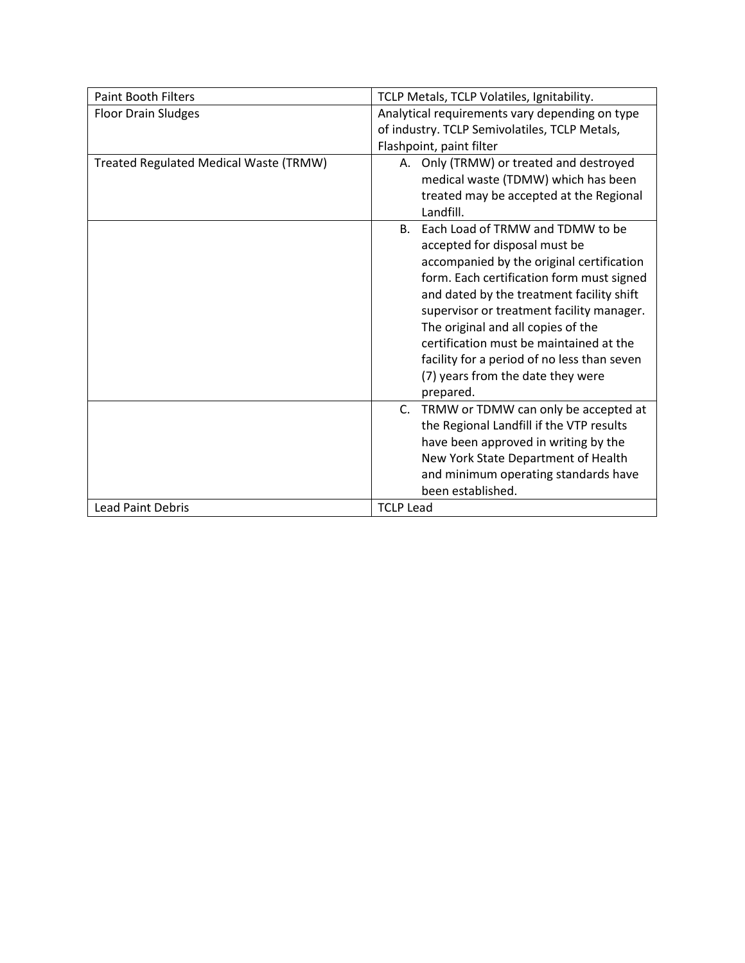| <b>Paint Booth Filters</b>             | TCLP Metals, TCLP Volatiles, Ignitability.     |  |  |  |
|----------------------------------------|------------------------------------------------|--|--|--|
| <b>Floor Drain Sludges</b>             | Analytical requirements vary depending on type |  |  |  |
|                                        | of industry. TCLP Semivolatiles, TCLP Metals,  |  |  |  |
|                                        | Flashpoint, paint filter                       |  |  |  |
| Treated Regulated Medical Waste (TRMW) | A. Only (TRMW) or treated and destroyed        |  |  |  |
|                                        | medical waste (TDMW) which has been            |  |  |  |
|                                        | treated may be accepted at the Regional        |  |  |  |
|                                        | Landfill.                                      |  |  |  |
|                                        | Each Load of TRMW and TDMW to be<br>B.         |  |  |  |
|                                        | accepted for disposal must be                  |  |  |  |
|                                        | accompanied by the original certification      |  |  |  |
|                                        | form. Each certification form must signed      |  |  |  |
|                                        | and dated by the treatment facility shift      |  |  |  |
|                                        | supervisor or treatment facility manager.      |  |  |  |
|                                        | The original and all copies of the             |  |  |  |
|                                        | certification must be maintained at the        |  |  |  |
|                                        | facility for a period of no less than seven    |  |  |  |
|                                        | (7) years from the date they were              |  |  |  |
|                                        | prepared.                                      |  |  |  |
|                                        | TRMW or TDMW can only be accepted at<br>C.     |  |  |  |
|                                        | the Regional Landfill if the VTP results       |  |  |  |
|                                        | have been approved in writing by the           |  |  |  |
|                                        | New York State Department of Health            |  |  |  |
|                                        | and minimum operating standards have           |  |  |  |
|                                        | been established.                              |  |  |  |
| <b>Lead Paint Debris</b>               | <b>TCLP Lead</b>                               |  |  |  |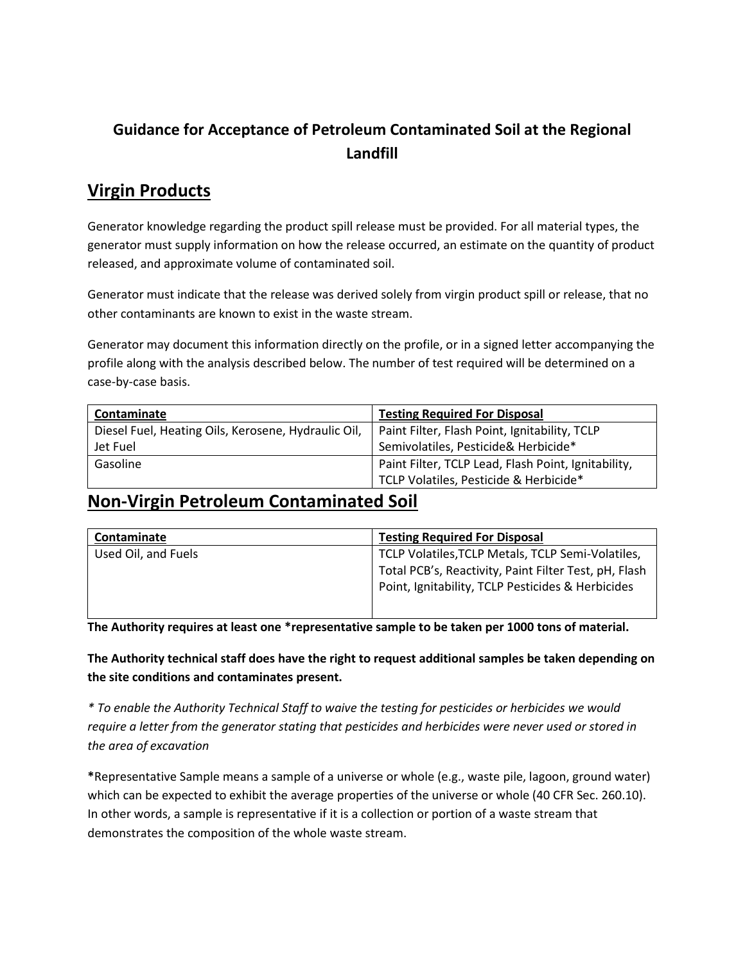#### **Guidance for Acceptance of Petroleum Contaminated Soil at the Regional Landfill**

#### **Virgin Products**

Generator knowledge regarding the product spill release must be provided. For all material types, the generator must supply information on how the release occurred, an estimate on the quantity of product released, and approximate volume of contaminated soil.

Generator must indicate that the release was derived solely from virgin product spill or release, that no other contaminants are known to exist in the waste stream.

Generator may document this information directly on the profile, or in a signed letter accompanying the profile along with the analysis described below. The number of test required will be determined on a case-by-case basis.

| Contaminate                                         | <b>Testing Required For Disposal</b>                |  |
|-----------------------------------------------------|-----------------------------------------------------|--|
| Diesel Fuel, Heating Oils, Kerosene, Hydraulic Oil, | Paint Filter, Flash Point, Ignitability, TCLP       |  |
| Jet Fuel                                            | Semivolatiles, Pesticide& Herbicide*                |  |
| Gasoline                                            | Paint Filter, TCLP Lead, Flash Point, Ignitability, |  |
|                                                     | TCLP Volatiles, Pesticide & Herbicide*              |  |

#### **Non-Virgin Petroleum Contaminated Soil**

| Contaminate         | <b>Testing Required For Disposal</b>                                                                       |  |
|---------------------|------------------------------------------------------------------------------------------------------------|--|
| Used Oil, and Fuels | TCLP Volatiles, TCLP Metals, TCLP Semi-Volatiles,                                                          |  |
|                     | Total PCB's, Reactivity, Paint Filter Test, pH, Flash<br>Point, Ignitability, TCLP Pesticides & Herbicides |  |

**The Authority requires at least one \*representative sample to be taken per 1000 tons of material.** 

**The Authority technical staff does have the right to request additional samples be taken depending on the site conditions and contaminates present.**

*\* To enable the Authority Technical Staff to waive the testing for pesticides or herbicides we would require a letter from the generator stating that pesticides and herbicides were never used or stored in the area of excavation*

**\***Representative Sample means a sample of a universe or whole (e.g., waste pile, lagoon, ground water) which can be expected to exhibit the average properties of the universe or whole (40 CFR Sec. 260.10). In other words, a sample is representative if it is a collection or portion of a waste stream that demonstrates the composition of the whole waste stream.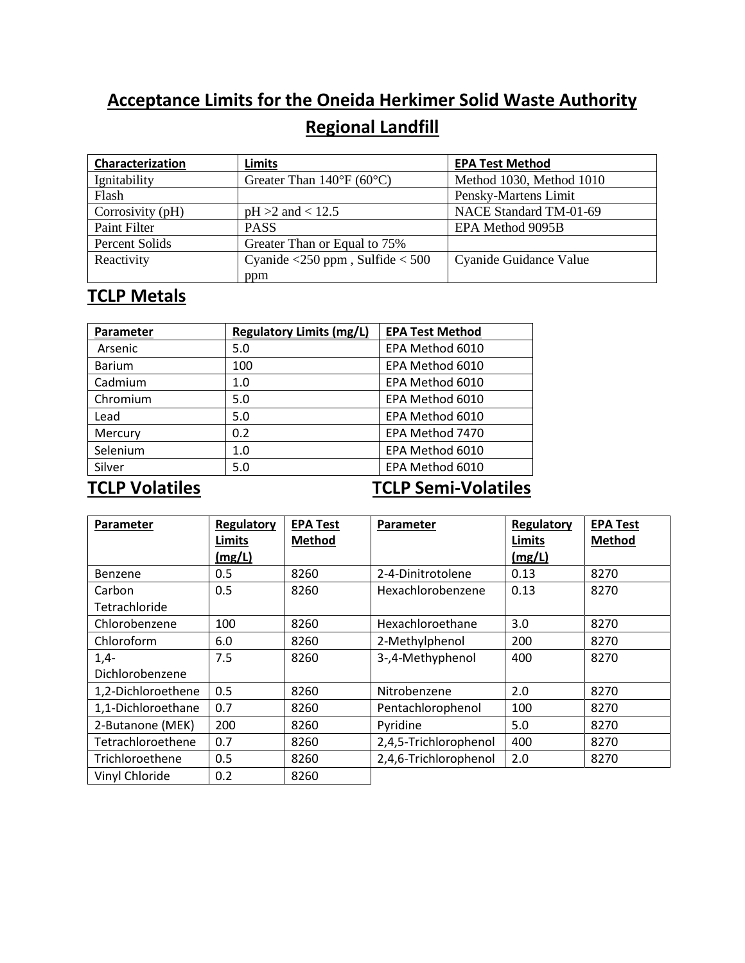# **Acceptance Limits for the Oneida Herkimer Solid Waste Authority Regional Landfill**

| Characterization | <b>Limits</b>                                                     | <b>EPA Test Method</b>   |
|------------------|-------------------------------------------------------------------|--------------------------|
| Ignitability     | Greater Than $140^{\circ}F(60^{\circ}C)$                          | Method 1030, Method 1010 |
| Flash            |                                                                   | Pensky-Martens Limit     |
| Corrosivity (pH) | $pH > 2$ and < 12.5                                               | NACE Standard TM-01-69   |
| Paint Filter     | <b>PASS</b>                                                       | EPA Method 9095B         |
| Percent Solids   | Greater Than or Equal to 75%                                      |                          |
| Reactivity       | Cyanide $\langle 250 \text{ ppm}$ , Sulfide $\langle 500 \rangle$ | Cyanide Guidance Value   |
|                  | ppm                                                               |                          |

### **TCLP Metals**

| Parameter     | <b>Regulatory Limits (mg/L)</b> | <b>EPA Test Method</b> |
|---------------|---------------------------------|------------------------|
| Arsenic       | 5.0                             | EPA Method 6010        |
| <b>Barium</b> | 100                             | EPA Method 6010        |
| Cadmium       | 1.0                             | EPA Method 6010        |
| Chromium      | 5.0                             | EPA Method 6010        |
| Lead          | 5.0                             | EPA Method 6010        |
| Mercury       | 0.2                             | EPA Method 7470        |
| Selenium      | 1.0                             | EPA Method 6010        |
| Silver        | 5.0                             | EPA Method 6010        |

#### **TCLP Volatiles TCLP Semi-Volatiles**

| Parameter          | Regulatory    | <b>EPA Test</b> | Parameter             | Regulatory    | <b>EPA Test</b> |
|--------------------|---------------|-----------------|-----------------------|---------------|-----------------|
|                    | <b>Limits</b> | <b>Method</b>   |                       | <b>Limits</b> | <b>Method</b>   |
|                    | <u>(mg/L)</u> |                 |                       | (mg/L)        |                 |
| Benzene            | 0.5           | 8260            | 2-4-Dinitrotolene     | 0.13          | 8270            |
| Carbon             | 0.5           | 8260            | Hexachlorobenzene     | 0.13          | 8270            |
| Tetrachloride      |               |                 |                       |               |                 |
| Chlorobenzene      | 100           | 8260            | Hexachloroethane      | 3.0           | 8270            |
| Chloroform         | 6.0           | 8260            | 2-Methylphenol        | 200           | 8270            |
| $1,4-$             | 7.5           | 8260            | 3-,4-Methyphenol      | 400           | 8270            |
| Dichlorobenzene    |               |                 |                       |               |                 |
| 1,2-Dichloroethene | 0.5           | 8260            | Nitrobenzene          | 2.0           | 8270            |
| 1,1-Dichloroethane | 0.7           | 8260            | Pentachlorophenol     | 100           | 8270            |
| 2-Butanone (MEK)   | 200           | 8260            | Pyridine              | 5.0           | 8270            |
| Tetrachloroethene  | 0.7           | 8260            | 2,4,5-Trichlorophenol | 400           | 8270            |
| Trichloroethene    | 0.5           | 8260            | 2,4,6-Trichlorophenol | 2.0           | 8270            |
| Vinyl Chloride     | 0.2           | 8260            |                       |               |                 |